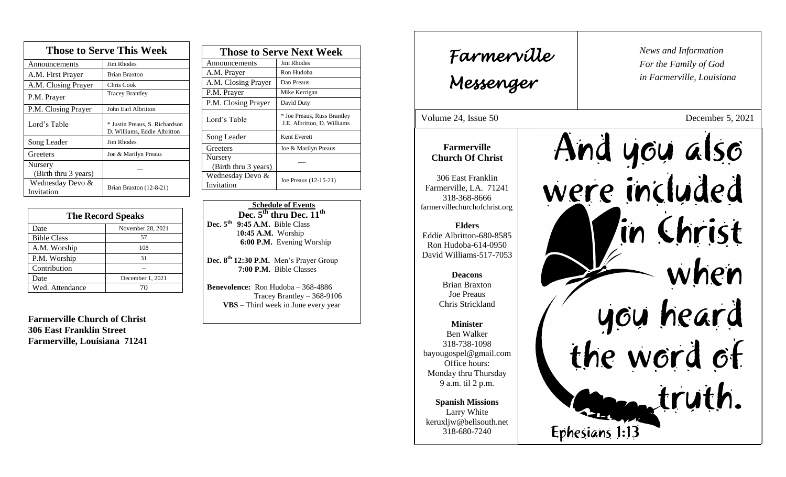| <b>Those to Serve This Week</b> |                                                                |
|---------------------------------|----------------------------------------------------------------|
| Announcements                   | <b>Jim Rhodes</b>                                              |
| A.M. First Prayer               | <b>Brian Braxton</b>                                           |
| A.M. Closing Prayer             | Chris Cook                                                     |
| P.M. Prayer                     | <b>Tracey Brantley</b>                                         |
| P.M. Closing Prayer             | John Earl Albritton                                            |
| Lord's Table                    | * Justin Preaus, S. Richardson<br>D. Williams, Eddie Albritton |
| Song Leader                     | Jim Rhodes                                                     |
| Greeters                        | Joe & Marilyn Preaus                                           |
| Nursery<br>(Birth thru 3 years) |                                                                |
| Wednesday Devo &<br>Invitation  | Brian Braxton (12-8-21)                                        |

| <b>The Record Speaks</b> |                   |
|--------------------------|-------------------|
| Date                     | November 28, 2021 |
| <b>Bible Class</b>       | 57                |
| A.M. Worship             | 108               |
| P.M. Worship             | 31                |
| Contribution             |                   |
| Date                     | December 1, 2021  |
| Wed. Attendance          |                   |

**Farmerville Church of Christ 306 East Franklin Street Farmerville, Louisiana 71241**

| <b>Those to Serve Next Week</b> |                                                            |
|---------------------------------|------------------------------------------------------------|
| Announcements                   | Jim Rhodes                                                 |
| A.M. Prayer                     | Ron Hudoba                                                 |
| A.M. Closing Prayer             | Dan Preaus                                                 |
| P.M. Prayer                     | Mike Kerrigan                                              |
| P.M. Closing Prayer             | David Duty                                                 |
| Lord's Table                    | * Joe Preaus, Russ Brantley<br>J.E. Albritton, D. Williams |
| Song Leader                     | Kent Everett                                               |
| Greeters                        | Joe & Marilyn Preaus                                       |
| Nursery<br>(Birth thru 3 years) |                                                            |
| Wednesday Devo &<br>Invitation  | Joe Preaus (12-15-21)                                      |

 **Schedule of Events Dec. 5th thru Dec. 11th Dec. 5th 9:45 A.M.** Bible Class 1**0:45 A.M.** Worship  **6:00 P.M.** Evening Worship

**Dec. 8 th 12:30 P.M.** Men's Prayer Group **7:00 P.M.** Bible Classes

**Benevolence:** Ron Hudoba – 368-4886 Tracey Brantley – 368-9106 **VBS** – Third week in June every year

*News and Information* **Farmerville**  $\begin{bmatrix} \text{News an} \\ \text{For the} \end{bmatrix}$ *For the Family of God in Farmerville, Louisiana Messenger*  Volume 24, Issue 50 December 5, 2021 And you also , 2015 **Farmerville Church Of Christ** were included 306 East Franklin Farmerville, LA. 71241 318-368-8666 farmervillechurchofchrist.org 'in Christ **Elders** Eddie Albritton-680-8585 Ron Hudoba-614-0950 David Williams-517-7053 when **Deacons**  Brian Braxton Joe Preaus you heard<br>the word of Chris Strickland **Minister** Ben Walker 318-738-1098 bayougospel@gmail.com Office hours: Monday thru Thursday truth. 9 a.m. til 2 p.m. **Spanish Missions** Larry White keruxljw@bellsouth.net Ephesians 1:13 318-680-7240